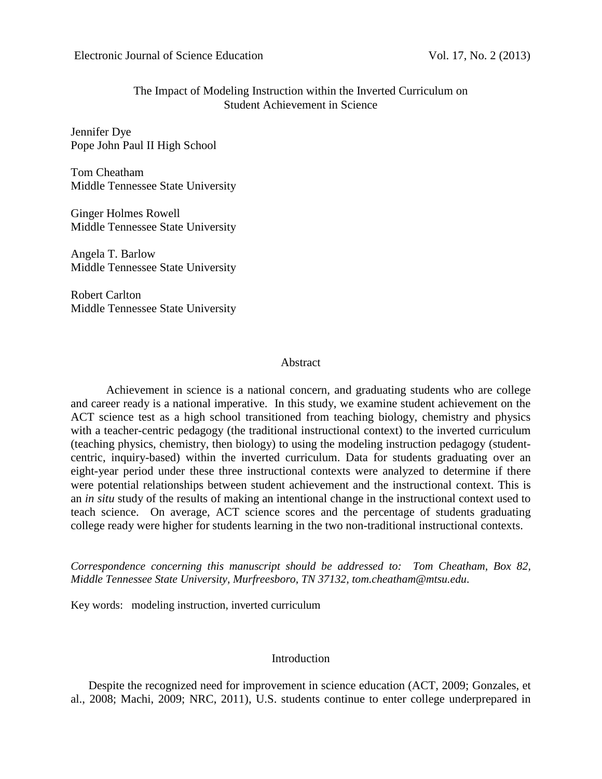# The Impact of Modeling Instruction within the Inverted Curriculum on Student Achievement in Science

Jennifer Dye Pope John Paul II High School

Tom Cheatham Middle Tennessee State University

Ginger Holmes Rowell Middle Tennessee State University

Angela T. Barlow Middle Tennessee State University

Robert Carlton Middle Tennessee State University

# Abstract

Achievement in science is a national concern, and graduating students who are college and career ready is a national imperative. In this study, we examine student achievement on the ACT science test as a high school transitioned from teaching biology, chemistry and physics with a teacher-centric pedagogy (the traditional instructional context) to the inverted curriculum (teaching physics, chemistry, then biology) to using the modeling instruction pedagogy (studentcentric, inquiry-based) within the inverted curriculum. Data for students graduating over an eight-year period under these three instructional contexts were analyzed to determine if there were potential relationships between student achievement and the instructional context. This is an *in situ* study of the results of making an intentional change in the instructional context used to teach science. On average, ACT science scores and the percentage of students graduating college ready were higher for students learning in the two non-traditional instructional contexts.

*Correspondence concerning this manuscript should be addressed to: Tom Cheatham, Box 82, Middle Tennessee State University, Murfreesboro, TN 37132, tom.cheatham@mtsu.edu.*

Key words: modeling instruction, inverted curriculum

# Introduction

Despite the recognized need for improvement in science education (ACT, 2009; Gonzales, et al., 2008; Machi, 2009; NRC, 2011), U.S. students continue to enter college underprepared in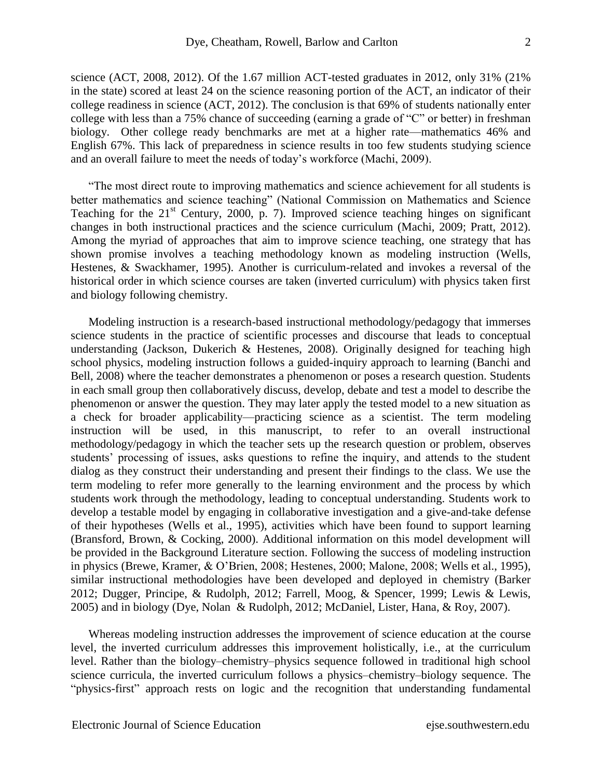science (ACT, 2008, 2012). Of the 1.67 million ACT-tested graduates in 2012, only 31% (21% in the state) scored at least 24 on the science reasoning portion of the ACT, an indicator of their college readiness in science (ACT, 2012). The conclusion is that 69% of students nationally enter college with less than a 75% chance of succeeding (earning a grade of  $C$ " or better) in freshman biology. Other college ready benchmarks are met at a higher rate—mathematics 46% and English 67%. This lack of preparedness in science results in too few students studying science and an overall failure to meet the needs of today's workforce (Machi, 2009).

―The most direct route to improving mathematics and science achievement for all students is better mathematics and science teaching" (National Commission on Mathematics and Science Teaching for the  $21^{st}$  Century, 2000, p. 7). Improved science teaching hinges on significant changes in both instructional practices and the science curriculum (Machi, 2009; Pratt, 2012). Among the myriad of approaches that aim to improve science teaching, one strategy that has shown promise involves a teaching methodology known as modeling instruction (Wells, Hestenes, & Swackhamer, 1995). Another is curriculum-related and invokes a reversal of the historical order in which science courses are taken (inverted curriculum) with physics taken first and biology following chemistry.

Modeling instruction is a research-based instructional methodology/pedagogy that immerses science students in the practice of scientific processes and discourse that leads to conceptual understanding (Jackson, Dukerich & Hestenes, 2008). Originally designed for teaching high school physics, modeling instruction follows a guided-inquiry approach to learning (Banchi and Bell, 2008) where the teacher demonstrates a phenomenon or poses a research question. Students in each small group then collaboratively discuss, develop, debate and test a model to describe the phenomenon or answer the question. They may later apply the tested model to a new situation as a check for broader applicability—practicing science as a scientist. The term modeling instruction will be used, in this manuscript, to refer to an overall instructional methodology/pedagogy in which the teacher sets up the research question or problem, observes students' processing of issues, asks questions to refine the inquiry, and attends to the student dialog as they construct their understanding and present their findings to the class. We use the term modeling to refer more generally to the learning environment and the process by which students work through the methodology, leading to conceptual understanding. Students work to develop a testable model by engaging in collaborative investigation and a give-and-take defense of their hypotheses (Wells et al., 1995), activities which have been found to support learning (Bransford, Brown, & Cocking, 2000). Additional information on this model development will be provided in the Background Literature section. Following the success of modeling instruction in physics (Brewe, Kramer, & O'Brien, 2008; Hestenes, 2000; Malone, 2008; Wells et al., 1995), similar instructional methodologies have been developed and deployed in chemistry (Barker 2012; Dugger, Principe, & Rudolph, 2012; Farrell, Moog, & Spencer, 1999; Lewis & Lewis, 2005) and in biology (Dye, Nolan & Rudolph, 2012; McDaniel, Lister, Hana, & Roy, 2007).

Whereas modeling instruction addresses the improvement of science education at the course level, the inverted curriculum addresses this improvement holistically, i.e., at the curriculum level. Rather than the biology–chemistry–physics sequence followed in traditional high school science curricula, the inverted curriculum follows a physics–chemistry–biology sequence. The "physics-first" approach rests on logic and the recognition that understanding fundamental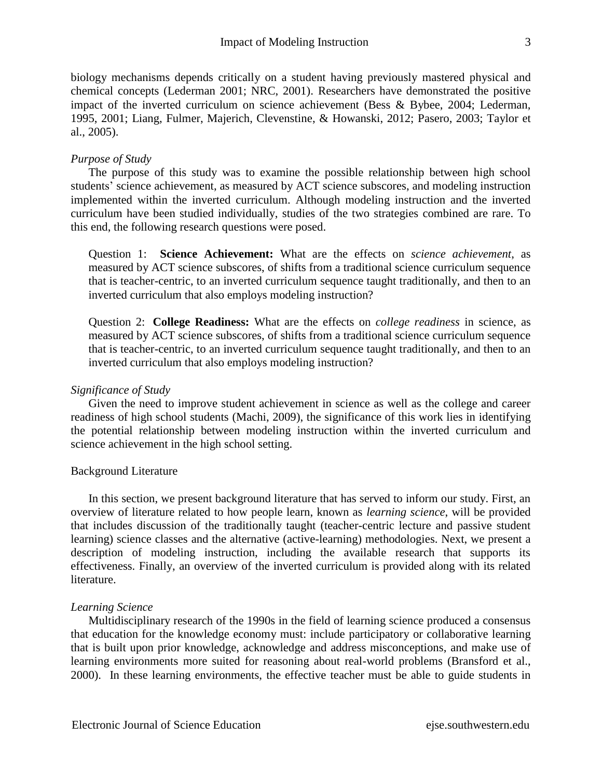biology mechanisms depends critically on a student having previously mastered physical and chemical concepts (Lederman 2001; NRC, 2001). Researchers have demonstrated the positive impact of the inverted curriculum on science achievement (Bess & Bybee, 2004; Lederman, 1995, 2001; Liang, Fulmer, Majerich, Clevenstine, & Howanski, 2012; Pasero, 2003; Taylor et al., 2005).

# *Purpose of Study*

The purpose of this study was to examine the possible relationship between high school students' science achievement, as measured by ACT science subscores, and modeling instruction implemented within the inverted curriculum. Although modeling instruction and the inverted curriculum have been studied individually, studies of the two strategies combined are rare. To this end, the following research questions were posed.

Question 1: **Science Achievement:** What are the effects on *science achievement*, as measured by ACT science subscores, of shifts from a traditional science curriculum sequence that is teacher-centric, to an inverted curriculum sequence taught traditionally, and then to an inverted curriculum that also employs modeling instruction?

Question 2: **College Readiness:** What are the effects on *college readiness* in science, as measured by ACT science subscores, of shifts from a traditional science curriculum sequence that is teacher-centric, to an inverted curriculum sequence taught traditionally, and then to an inverted curriculum that also employs modeling instruction?

## *Significance of Study*

Given the need to improve student achievement in science as well as the college and career readiness of high school students (Machi, 2009), the significance of this work lies in identifying the potential relationship between modeling instruction within the inverted curriculum and science achievement in the high school setting.

# Background Literature

In this section, we present background literature that has served to inform our study. First, an overview of literature related to how people learn, known as *learning science*, will be provided that includes discussion of the traditionally taught (teacher-centric lecture and passive student learning) science classes and the alternative (active-learning) methodologies. Next, we present a description of modeling instruction, including the available research that supports its effectiveness. Finally, an overview of the inverted curriculum is provided along with its related literature.

## *Learning Science*

Multidisciplinary research of the 1990s in the field of learning science produced a consensus that education for the knowledge economy must: include participatory or collaborative learning that is built upon prior knowledge, acknowledge and address misconceptions, and make use of learning environments more suited for reasoning about real-world problems (Bransford et al., 2000). In these learning environments, the effective teacher must be able to guide students in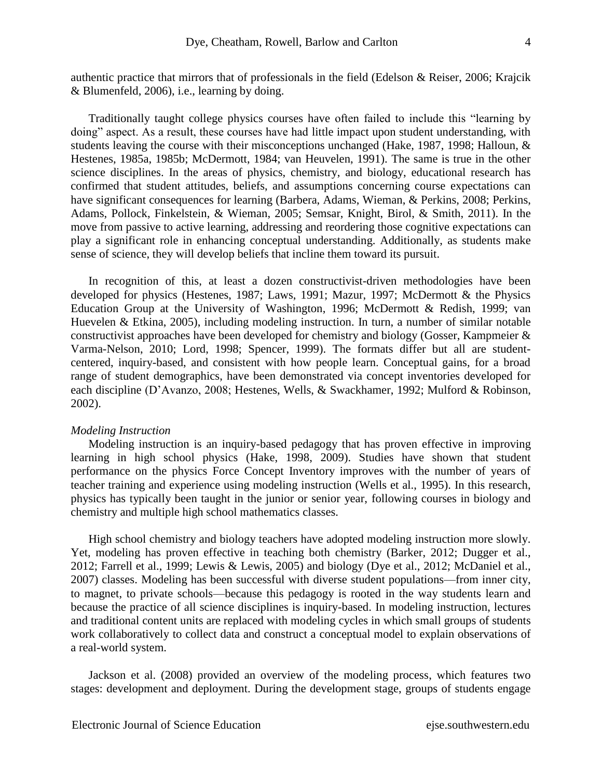authentic practice that mirrors that of professionals in the field (Edelson & Reiser, 2006; Krajcik & Blumenfeld, 2006), i.e., learning by doing.

Traditionally taught college physics courses have often failed to include this "learning by doing" aspect. As a result, these courses have had little impact upon student understanding, with students leaving the course with their misconceptions unchanged (Hake, 1987, 1998; Halloun, & Hestenes, 1985a, 1985b; McDermott, 1984; van Heuvelen, 1991). The same is true in the other science disciplines. In the areas of physics, chemistry, and biology, educational research has confirmed that student attitudes, beliefs, and assumptions concerning course expectations can have significant consequences for learning (Barbera, Adams, Wieman, & Perkins, 2008; Perkins, Adams, Pollock, Finkelstein, & Wieman, 2005; Semsar, Knight, Birol, & Smith, 2011). In the move from passive to active learning, addressing and reordering those cognitive expectations can play a significant role in enhancing conceptual understanding. Additionally, as students make sense of science, they will develop beliefs that incline them toward its pursuit.

In recognition of this, at least a dozen constructivist-driven methodologies have been developed for physics (Hestenes, 1987; Laws, 1991; Mazur, 1997; McDermott & the Physics Education Group at the University of Washington, 1996; McDermott & Redish, 1999; van Huevelen & Etkina, 2005), including modeling instruction. In turn, a number of similar notable constructivist approaches have been developed for chemistry and biology (Gosser, Kampmeier & Varma-Nelson, 2010; Lord, 1998; Spencer, 1999). The formats differ but all are studentcentered, inquiry-based, and consistent with how people learn. Conceptual gains, for a broad range of student demographics, have been demonstrated via concept inventories developed for each discipline (D'Avanzo, 2008; Hestenes, Wells, & Swackhamer, 1992; Mulford & Robinson, 2002).

#### *Modeling Instruction*

Modeling instruction is an inquiry-based pedagogy that has proven effective in improving learning in high school physics (Hake, 1998, 2009). Studies have shown that student performance on the physics Force Concept Inventory improves with the number of years of teacher training and experience using modeling instruction (Wells et al., 1995). In this research, physics has typically been taught in the junior or senior year, following courses in biology and chemistry and multiple high school mathematics classes.

High school chemistry and biology teachers have adopted modeling instruction more slowly. Yet, modeling has proven effective in teaching both chemistry (Barker, 2012; Dugger et al., 2012; Farrell et al., 1999; Lewis & Lewis, 2005) and biology (Dye et al., 2012; McDaniel et al., 2007) classes. Modeling has been successful with diverse student populations—from inner city, to magnet, to private schools—because this pedagogy is rooted in the way students learn and because the practice of all science disciplines is inquiry-based. In modeling instruction, lectures and traditional content units are replaced with modeling cycles in which small groups of students work collaboratively to collect data and construct a conceptual model to explain observations of a real-world system.

Jackson et al. (2008) provided an overview of the modeling process, which features two stages: development and deployment. During the development stage, groups of students engage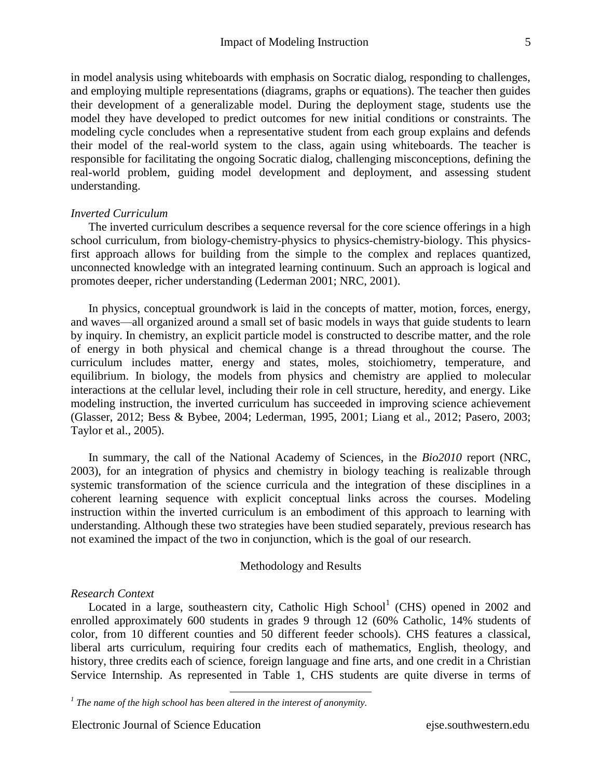in model analysis using whiteboards with emphasis on Socratic dialog, responding to challenges, and employing multiple representations (diagrams, graphs or equations). The teacher then guides their development of a generalizable model. During the deployment stage, students use the model they have developed to predict outcomes for new initial conditions or constraints. The modeling cycle concludes when a representative student from each group explains and defends their model of the real-world system to the class, again using whiteboards. The teacher is responsible for facilitating the ongoing Socratic dialog, challenging misconceptions, defining the real-world problem, guiding model development and deployment, and assessing student understanding.

## *Inverted Curriculum*

The inverted curriculum describes a sequence reversal for the core science offerings in a high school curriculum, from biology-chemistry-physics to physics-chemistry-biology. This physicsfirst approach allows for building from the simple to the complex and replaces quantized, unconnected knowledge with an integrated learning continuum. Such an approach is logical and promotes deeper, richer understanding (Lederman 2001; NRC, 2001).

In physics, conceptual groundwork is laid in the concepts of matter, motion, forces, energy, and waves—all organized around a small set of basic models in ways that guide students to learn by inquiry. In chemistry, an explicit particle model is constructed to describe matter, and the role of energy in both physical and chemical change is a thread throughout the course. The curriculum includes matter, energy and states, moles, stoichiometry, temperature, and equilibrium. In biology, the models from physics and chemistry are applied to molecular interactions at the cellular level, including their role in cell structure, heredity, and energy. Like modeling instruction, the inverted curriculum has succeeded in improving science achievement (Glasser, 2012; Bess & Bybee, 2004; Lederman, 1995, 2001; Liang et al., 2012; Pasero, 2003; Taylor et al., 2005).

In summary, the call of the National Academy of Sciences, in the *Bio2010* report (NRC, 2003), for an integration of physics and chemistry in biology teaching is realizable through systemic transformation of the science curricula and the integration of these disciplines in a coherent learning sequence with explicit conceptual links across the courses. Modeling instruction within the inverted curriculum is an embodiment of this approach to learning with understanding. Although these two strategies have been studied separately, previous research has not examined the impact of the two in conjunction, which is the goal of our research.

## Methodology and Results

## *Research Context*

Located in a large, southeastern city, Catholic High School<sup>1</sup> (CHS) opened in 2002 and enrolled approximately 600 students in grades 9 through 12 (60% Catholic, 14% students of color, from 10 different counties and 50 different feeder schools). CHS features a classical, liberal arts curriculum, requiring four credits each of mathematics, English, theology, and history, three credits each of science, foreign language and fine arts, and one credit in a Christian Service Internship. As represented in Table 1, CHS students are quite diverse in terms of

 $\overline{a}$ 

*<sup>1</sup> The name of the high school has been altered in the interest of anonymity.*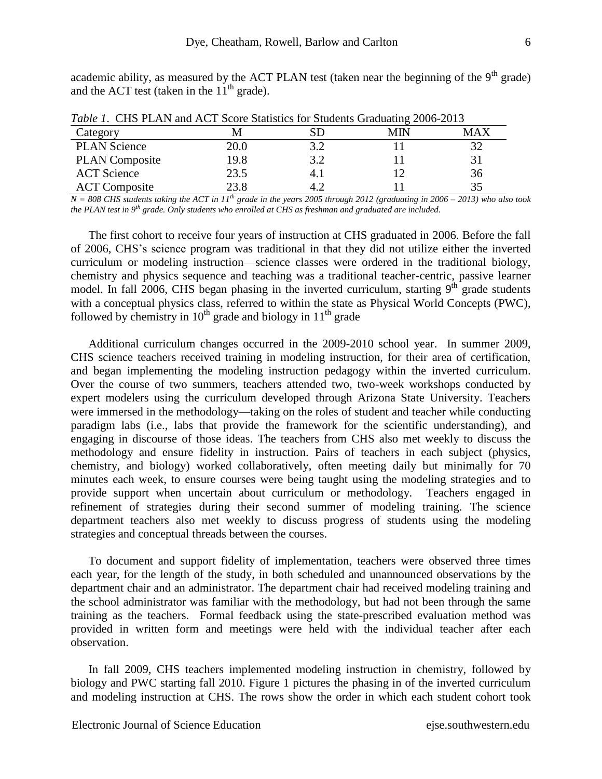academic ability, as measured by the ACT PLAN test (taken near the beginning of the  $9<sup>th</sup>$  grade) and the ACT test (taken in the  $11<sup>th</sup>$  grade).

| <i>Tuble 1</i> . CHS I LATY and ACT SCOTE Statistics for Students Chaduaring 2000-2013 |      |     |     |     |  |  |  |  |
|----------------------------------------------------------------------------------------|------|-----|-----|-----|--|--|--|--|
| Category                                                                               |      |     | MIN | MAX |  |  |  |  |
| <b>PLAN Science</b>                                                                    | 20.0 | 3.2 |     |     |  |  |  |  |
| <b>PLAN</b> Composite                                                                  | 19.8 | 3.2 |     |     |  |  |  |  |
| <b>ACT</b> Science                                                                     | 23.5 |     |     | 36  |  |  |  |  |
| <b>ACT</b> Composite                                                                   | 23.8 |     |     | 35  |  |  |  |  |

*Table 1*.CHS PLAN and ACT Score Statistics for Students Graduating 2006-2013

 $N = 808$  CHS students taking the ACT in 11<sup>th</sup> grade in the years 2005 through 2012 (graduating in 2006 – 2013) who also took *the PLAN test in 9th grade. Only students who enrolled at CHS as freshman and graduated are included.*

The first cohort to receive four years of instruction at CHS graduated in 2006. Before the fall of 2006, CHS's science program was traditional in that they did not utilize either the inverted curriculum or modeling instruction—science classes were ordered in the traditional biology, chemistry and physics sequence and teaching was a traditional teacher-centric, passive learner model. In fall 2006, CHS began phasing in the inverted curriculum, starting  $9<sup>th</sup>$  grade students with a conceptual physics class, referred to within the state as Physical World Concepts (PWC), followed by chemistry in  $10<sup>th</sup>$  grade and biology in  $11<sup>th</sup>$  grade

Additional curriculum changes occurred in the 2009-2010 school year. In summer 2009, CHS science teachers received training in modeling instruction, for their area of certification, and began implementing the modeling instruction pedagogy within the inverted curriculum. Over the course of two summers, teachers attended two, two-week workshops conducted by expert modelers using the curriculum developed through Arizona State University. Teachers were immersed in the methodology—taking on the roles of student and teacher while conducting paradigm labs (i.e., labs that provide the framework for the scientific understanding), and engaging in discourse of those ideas. The teachers from CHS also met weekly to discuss the methodology and ensure fidelity in instruction. Pairs of teachers in each subject (physics, chemistry, and biology) worked collaboratively, often meeting daily but minimally for 70 minutes each week, to ensure courses were being taught using the modeling strategies and to provide support when uncertain about curriculum or methodology. Teachers engaged in refinement of strategies during their second summer of modeling training. The science department teachers also met weekly to discuss progress of students using the modeling strategies and conceptual threads between the courses.

To document and support fidelity of implementation, teachers were observed three times each year, for the length of the study, in both scheduled and unannounced observations by the department chair and an administrator. The department chair had received modeling training and the school administrator was familiar with the methodology, but had not been through the same training as the teachers. Formal feedback using the state-prescribed evaluation method was provided in written form and meetings were held with the individual teacher after each observation.

In fall 2009, CHS teachers implemented modeling instruction in chemistry, followed by biology and PWC starting fall 2010. Figure 1 pictures the phasing in of the inverted curriculum and modeling instruction at CHS. The rows show the order in which each student cohort took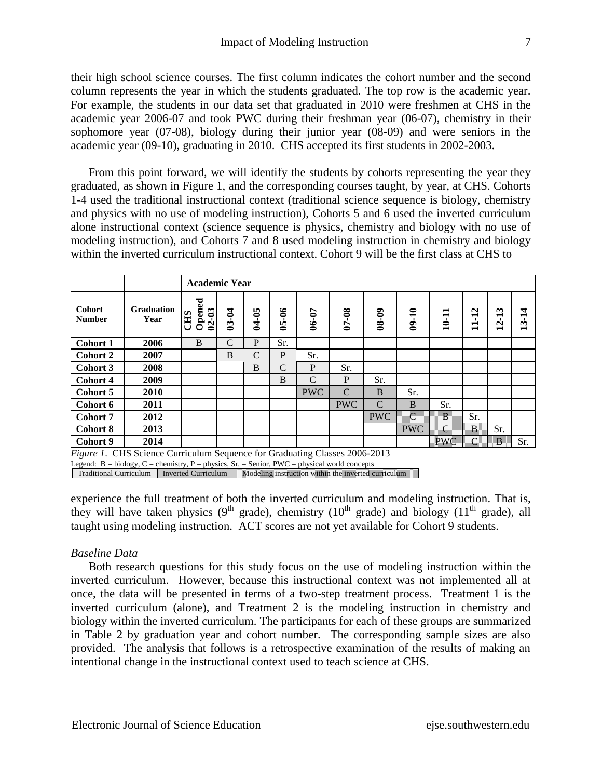their high school science courses. The first column indicates the cohort number and the second column represents the year in which the students graduated. The top row is the academic year. For example, the students in our data set that graduated in 2010 were freshmen at CHS in the academic year 2006-07 and took PWC during their freshman year (06-07), chemistry in their sophomore year (07-08), biology during their junior year (08-09) and were seniors in the academic year (09-10), graduating in 2010. CHS accepted its first students in 2002-2003.

From this point forward, we will identify the students by cohorts representing the year they graduated, as shown in Figure 1, and the corresponding courses taught, by year, at CHS. Cohorts 1-4 used the traditional instructional context (traditional science sequence is biology, chemistry and physics with no use of modeling instruction), Cohorts 5 and 6 used the inverted curriculum alone instructional context (science sequence is physics, chemistry and biology with no use of modeling instruction), and Cohorts 7 and 8 used modeling instruction in chemistry and biology within the inverted curriculum instructional context. Cohort 9 will be the first class at CHS to

|                                |                           |                                   | <b>Academic Year</b> |               |               |            |              |               |            |       |                                               |                                                                            |                  |
|--------------------------------|---------------------------|-----------------------------------|----------------------|---------------|---------------|------------|--------------|---------------|------------|-------|-----------------------------------------------|----------------------------------------------------------------------------|------------------|
| <b>Cohort</b><br><b>Number</b> | <b>Graduation</b><br>Year | Opened<br>$02 - 03$<br><b>CHS</b> | $03 - 04$            | 04-05         | $05 - 06$     | 06-07      | $07 - 08$    | $08 - 09$     | $09 - 10$  | 10-11 | $\mathbf{\Omega}$<br>−<br>−<br>$\blacksquare$ | $\mathbf{\tilde{5}}$<br>−<br>$\mathbf{\Omega}$<br>$\overline{\phantom{0}}$ | ₹<br>−<br>ొ<br>− |
| Cohort 1                       | 2006                      | B                                 | $\mathcal{C}$        | P             | Sr.           |            |              |               |            |       |                                               |                                                                            |                  |
| <b>Cohort 2</b>                | 2007                      |                                   | B                    | $\mathcal{C}$ | P             | Sr.        |              |               |            |       |                                               |                                                                            |                  |
| Cohort 3                       | 2008                      |                                   |                      | B             | $\mathcal{C}$ | P          | Sr.          |               |            |       |                                               |                                                                            |                  |
| Cohort 4                       | 2009                      |                                   |                      |               | B             | C          | $\mathbf{P}$ | Sr.           |            |       |                                               |                                                                            |                  |
| Cohort 5                       | 2010                      |                                   |                      |               |               | <b>PWC</b> | $\mathbf C$  | B             | Sr.        |       |                                               |                                                                            |                  |
| Cohort 6                       | 2011                      |                                   |                      |               |               |            | <b>PWC</b>   | $\mathcal{C}$ | B          | Sr.   |                                               |                                                                            |                  |
| Cohort 7                       | 2012                      |                                   |                      |               |               |            |              | <b>PWC</b>    | s (f       | B     | Sr.                                           |                                                                            |                  |
| <b>Cohort 8</b>                | 2013                      |                                   |                      |               |               |            |              |               | <b>PWC</b> | s.    | B                                             | Sr.                                                                        |                  |
| Cohort 9                       | 2014                      |                                   |                      |               |               |            |              |               |            | PWC   | s.                                            | в                                                                          | Sr.              |

*Figure 1*. CHS Science Curriculum Sequence for Graduating Classes 2006-2013

Legend:  $B = \text{biology}, C = \text{chemistry}, P = \text{physics}, Sr = \text{Senior}, PWC = \text{physical world concepts}$ 

Traditional Curriculum Inverted Curriculum Modeling instruction within the inverted curriculum

experience the full treatment of both the inverted curriculum and modeling instruction. That is, they will have taken physics (9<sup>th</sup> grade), chemistry (10<sup>th</sup> grade) and biology (11<sup>th</sup> grade), all taught using modeling instruction. ACT scores are not yet available for Cohort 9 students.

# *Baseline Data*

Both research questions for this study focus on the use of modeling instruction within the inverted curriculum. However, because this instructional context was not implemented all at once, the data will be presented in terms of a two-step treatment process. Treatment 1 is the inverted curriculum (alone), and Treatment 2 is the modeling instruction in chemistry and biology within the inverted curriculum. The participants for each of these groups are summarized in Table 2 by graduation year and cohort number. The corresponding sample sizes are also provided. The analysis that follows is a retrospective examination of the results of making an intentional change in the instructional context used to teach science at CHS.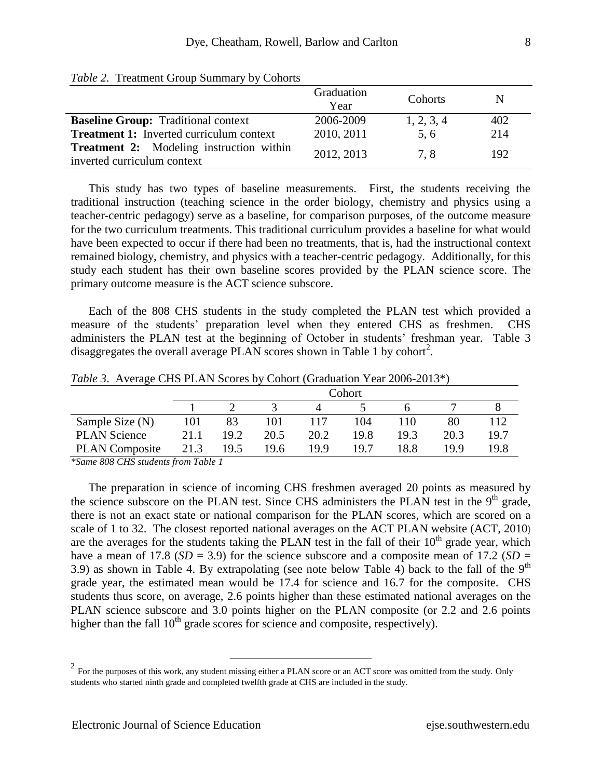|                                                                                | Graduation<br>Year | Cohorts    | N   |
|--------------------------------------------------------------------------------|--------------------|------------|-----|
| <b>Baseline Group:</b> Traditional context                                     | 2006-2009          | 1, 2, 3, 4 | 402 |
| <b>Treatment 1:</b> Inverted curriculum context                                | 2010, 2011         | 5.6        | 214 |
| <b>Treatment 2:</b> Modeling instruction within<br>inverted curriculum context | 2012, 2013         | 7.8        | 192 |

*Table 2.* Treatment Group Summary by Cohorts

This study has two types of baseline measurements. First, the students receiving the traditional instruction (teaching science in the order biology, chemistry and physics using a teacher-centric pedagogy) serve as a baseline, for comparison purposes, of the outcome measure for the two curriculum treatments. This traditional curriculum provides a baseline for what would have been expected to occur if there had been no treatments, that is, had the instructional context remained biology, chemistry, and physics with a teacher-centric pedagogy. Additionally, for this study each student has their own baseline scores provided by the PLAN science score. The primary outcome measure is the ACT science subscore.

Each of the 808 CHS students in the study completed the PLAN test which provided a measure of the students' preparation level when they entered CHS as freshmen. CHS administers the PLAN test at the beginning of October in students' freshman year. Table 3 disaggregates the overall average PLAN scores shown in Table 1 by cohort<sup>2</sup>.

|      | Cohort |      |      |      |      |      |      |  |  |  |
|------|--------|------|------|------|------|------|------|--|--|--|
|      |        |      |      |      |      |      |      |  |  |  |
| 101  | 83     | 101  |      | 104  | 110  | 80   | 112  |  |  |  |
| 21.1 | 19.2   | 20.5 | 20.2 | 19.8 | 19.3 | 20.3 | 19.7 |  |  |  |
| 21.3 | 19.5   | 19.6 | 19.9 | 197  | 18.8 | 19.9 | 19.8 |  |  |  |
|      | $\sim$ | ____ |      |      |      |      |      |  |  |  |

*Table 3*. Average CHS PLAN Scores by Cohort (Graduation Year 2006-2013\*)

*\*Same 808 CHS students from Table 1*

The preparation in science of incoming CHS freshmen averaged 20 points as measured by the science subscore on the PLAN test. Since CHS administers the PLAN test in the  $9<sup>th</sup>$  grade, there is not an exact state or national comparison for the PLAN scores, which are scored on a scale of 1 to 32. The closest reported national averages on the ACT PLAN website (ACT, 2010) are the averages for the students taking the PLAN test in the fall of their  $10<sup>th</sup>$  grade year, which have a mean of 17.8 ( $SD = 3.9$ ) for the science subscore and a composite mean of 17.2 ( $SD =$ 3.9) as shown in Table 4. By extrapolating (see note below Table 4) back to the fall of the  $9<sup>th</sup>$ grade year, the estimated mean would be 17.4 for science and 16.7 for the composite. CHS students thus score, on average, 2.6 points higher than these estimated national averages on the PLAN science subscore and 3.0 points higher on the PLAN composite (or 2.2 and 2.6 points higher than the fall  $10<sup>th</sup>$  grade scores for science and composite, respectively).

 $\overline{a}$ 

 $2 \text{ For the purposes of this work, any student missing either a PLAN score or an ACT score was omitted from the study. Only }$ students who started ninth grade and completed twelfth grade at CHS are included in the study.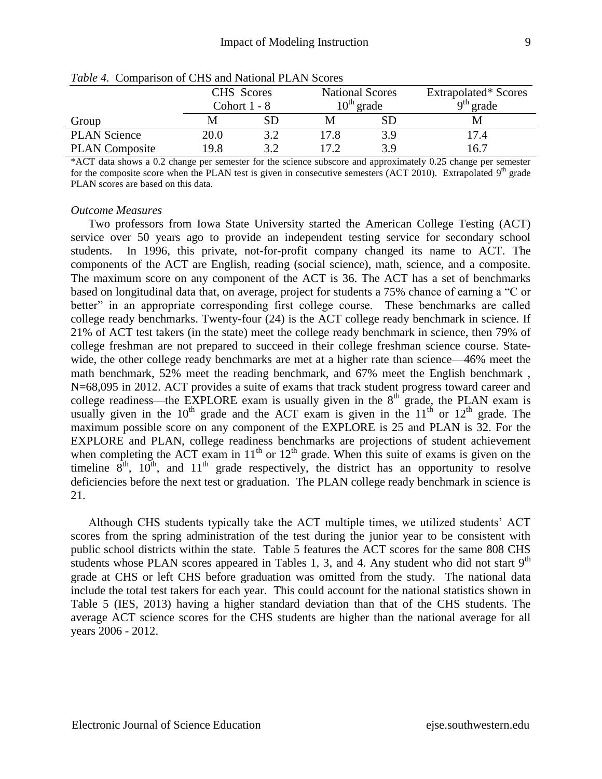|                       | CHS Scores<br>Cohort $1 - 8$ |     | <b>National Scores</b> | $10^{th}$ grade | Extrapolated* Scores<br>$9th$ grade |  |
|-----------------------|------------------------------|-----|------------------------|-----------------|-------------------------------------|--|
| Group                 |                              |     |                        |                 |                                     |  |
| <b>PLAN Science</b>   | 20.0                         | 3.2 | .7.8                   |                 | 17.4                                |  |
| <b>PLAN</b> Composite | 19.8                         | ? つ | 17 2                   | 3.9             | 16.7                                |  |

*Table 4.* Comparison of CHS and National PLAN Scores

\*ACT data shows a 0.2 change per semester for the science subscore and approximately 0.25 change per semester for the composite score when the PLAN test is given in consecutive semesters (ACT 2010). Extrapolated 9<sup>th</sup> grade PLAN scores are based on this data.

## *Outcome Measures*

Two professors from Iowa State University started the American College Testing (ACT) service over 50 years ago to provide an independent testing service for secondary school students. In 1996, this private, not-for-profit company changed its name to ACT. The components of the ACT are English, reading (social science), math, science, and a composite. The maximum score on any component of the ACT is 36. The ACT has a set of benchmarks based on longitudinal data that, on average, project for students a 75% chance of earning a "C or better" in an appropriate corresponding first college course. These benchmarks are called college ready benchmarks. Twenty-four (24) is the ACT college ready benchmark in science. If 21% of ACT test takers (in the state) meet the college ready benchmark in science, then 79% of college freshman are not prepared to succeed in their college freshman science course. Statewide, the other college ready benchmarks are met at a higher rate than science—46% meet the math benchmark, 52% meet the reading benchmark, and 67% meet the English benchmark , N=68,095 in 2012. ACT provides a suite of exams that track student progress toward career and college readiness—the EXPLORE exam is usually given in the  $8<sup>th</sup>$  grade, the PLAN exam is usually given in the  $10^{th}$  grade and the ACT exam is given in the  $11^{th}$  or  $12^{th}$  grade. The maximum possible score on any component of the EXPLORE is 25 and PLAN is 32. For the EXPLORE and PLAN, college readiness benchmarks are projections of student achievement when completing the ACT exam in  $11<sup>th</sup>$  or  $12<sup>th</sup>$  grade. When this suite of exams is given on the timeline  $8^{th}$ ,  $10^{th}$ , and  $11^{th}$  grade respectively, the district has an opportunity to resolve deficiencies before the next test or graduation. The PLAN college ready benchmark in science is 21.

Although CHS students typically take the ACT multiple times, we utilized students' ACT scores from the spring administration of the test during the junior year to be consistent with public school districts within the state. Table 5 features the ACT scores for the same 808 CHS students whose PLAN scores appeared in Tables 1, 3, and 4. Any student who did not start  $9<sup>th</sup>$ grade at CHS or left CHS before graduation was omitted from the study. The national data include the total test takers for each year. This could account for the national statistics shown in Table 5 (IES, 2013) having a higher standard deviation than that of the CHS students. The average ACT science scores for the CHS students are higher than the national average for all years 2006 - 2012.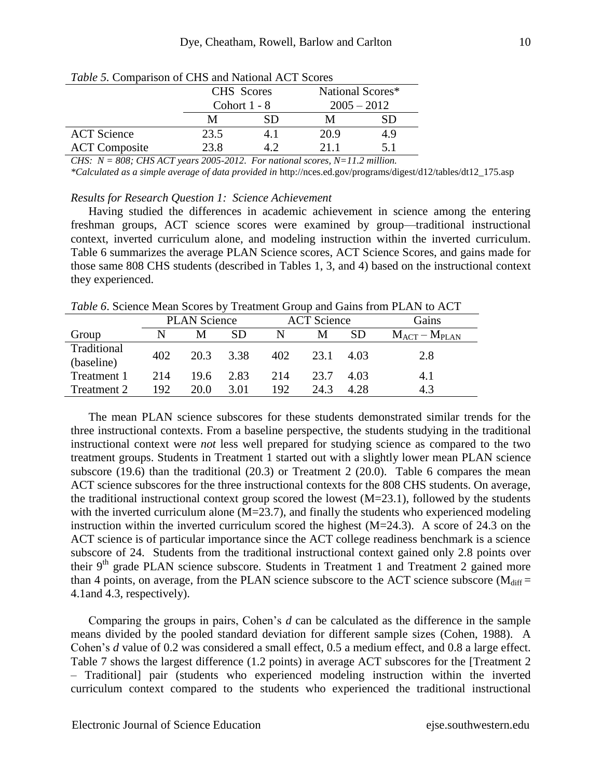|                      | CHS Scores<br>Cohort $1 - 8$ |    | National Scores*<br>$2005 - 2012$ |     |  |
|----------------------|------------------------------|----|-----------------------------------|-----|--|
|                      | M                            | SD |                                   | SD  |  |
| <b>ACT</b> Science   | 23.5                         |    | 20.9                              | 4.9 |  |
| <b>ACT Composite</b> | 23.8                         |    | 21 1                              | 51  |  |

*Table 5.* Comparison of CHS and National ACT Scores

*CHS: N = 808; CHS ACT years 2005-2012. For national scores, N=11.2 million.* 

*\*Calculated as a simple average of data provided in* http://nces.ed.gov/programs/digest/d12/tables/dt12\_175.asp

#### *Results for Research Question 1: Science Achievement*

Having studied the differences in academic achievement in science among the entering freshman groups, ACT science scores were examined by group—traditional instructional context, inverted curriculum alone, and modeling instruction within the inverted curriculum. Table 6 summarizes the average PLAN Science scores, ACT Science Scores, and gains made for those same 808 CHS students (described in Tables 1, 3, and 4) based on the instructional context they experienced.

*Table 6*. Science Mean Scores by Treatment Group and Gains from PLAN to ACT

|                           | <b>PLAN Science</b> |      |           |     | <b>ACT</b> Science |           | Gains                        |
|---------------------------|---------------------|------|-----------|-----|--------------------|-----------|------------------------------|
| Group                     |                     | M    | <b>SD</b> | N   | М                  | <b>SD</b> | $M_{\rm ACT} - M_{\rm PLAN}$ |
| Traditional<br>(baseline) | 402                 | 20.3 | 3.38      | 402 | 23.1               | 4.03      | 2.8                          |
| Treatment 1               | 214                 | 19.6 | 2.83      | 214 | 23.7               | 4.03      | 4.1                          |
| Treatment 2               | 192                 | 20.0 | 3.01      | 192 | 24.3               | 4.28      | 4.3                          |

The mean PLAN science subscores for these students demonstrated similar trends for the three instructional contexts. From a baseline perspective, the students studying in the traditional instructional context were *not* less well prepared for studying science as compared to the two treatment groups. Students in Treatment 1 started out with a slightly lower mean PLAN science subscore (19.6) than the traditional (20.3) or Treatment 2 (20.0). Table 6 compares the mean ACT science subscores for the three instructional contexts for the 808 CHS students. On average, the traditional instructional context group scored the lowest  $(M=23.1)$ , followed by the students with the inverted curriculum alone  $(M=23.7)$ , and finally the students who experienced modeling instruction within the inverted curriculum scored the highest  $(M=24.3)$ . A score of 24.3 on the ACT science is of particular importance since the ACT college readiness benchmark is a science subscore of 24. Students from the traditional instructional context gained only 2.8 points over their 9<sup>th</sup> grade PLAN science subscore. Students in Treatment 1 and Treatment 2 gained more than 4 points, on average, from the PLAN science subscore to the ACT science subscore ( $M_{diff}$  = 4.1and 4.3, respectively).

Comparing the groups in pairs, Cohen's *d* can be calculated as the difference in the sample means divided by the pooled standard deviation for different sample sizes (Cohen, 1988). A Cohen's *d* value of 0.2 was considered a small effect, 0.5 a medium effect, and 0.8 a large effect. Table 7 shows the largest difference (1.2 points) in average ACT subscores for the [Treatment 2 – Traditional] pair (students who experienced modeling instruction within the inverted curriculum context compared to the students who experienced the traditional instructional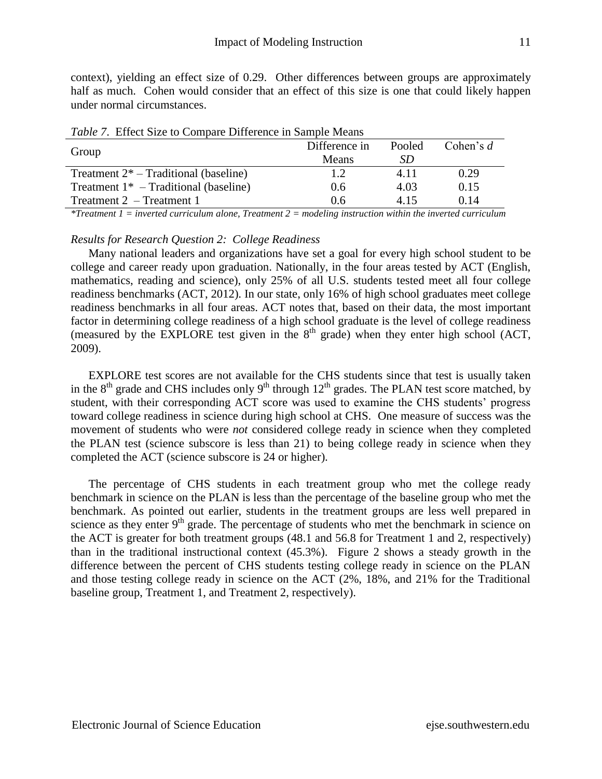context), yielding an effect size of 0.29. Other differences between groups are approximately half as much. Cohen would consider that an effect of this size is one that could likely happen under normal circumstances.

| <i>Lable 7</i> , Effect Size to Compare Difference in Bampic Means |               |        |             |  |  |  |  |  |
|--------------------------------------------------------------------|---------------|--------|-------------|--|--|--|--|--|
| Group                                                              | Difference in | Pooled | Cohen's $d$ |  |  |  |  |  |
|                                                                    | <b>Means</b>  | SD     |             |  |  |  |  |  |
| Treatment $2^*$ – Traditional (baseline)                           | 1.2.          | 4 1 1  | 0.29        |  |  |  |  |  |
| Treatment $1*$ – Traditional (baseline)                            | 0.6           | 4.03   | 0.15        |  |  |  |  |  |
| Treatment $2$ – Treatment 1                                        | 0.6           | 4 15   | 0.14        |  |  |  |  |  |

*Table 7*. Effect Size to Compare Difference in Sample Means

*\*Treatment 1 = inverted curriculum alone, Treatment 2 = modeling instruction within the inverted curriculum*

# *Results for Research Question 2: College Readiness*

Many national leaders and organizations have set a goal for every high school student to be college and career ready upon graduation. Nationally, in the four areas tested by ACT (English, mathematics, reading and science), only 25% of all U.S. students tested meet all four college readiness benchmarks (ACT, 2012). In our state, only 16% of high school graduates meet college readiness benchmarks in all four areas. ACT notes that, based on their data, the most important factor in determining college readiness of a high school graduate is the level of college readiness (measured by the EXPLORE test given in the  $8<sup>th</sup>$  grade) when they enter high school (ACT, 2009).

EXPLORE test scores are not available for the CHS students since that test is usually taken in the  $8<sup>th</sup>$  grade and CHS includes only  $9<sup>th</sup>$  through  $12<sup>th</sup>$  grades. The PLAN test score matched, by student, with their corresponding ACT score was used to examine the CHS students' progress toward college readiness in science during high school at CHS. One measure of success was the movement of students who were *not* considered college ready in science when they completed the PLAN test (science subscore is less than 21) to being college ready in science when they completed the ACT (science subscore is 24 or higher).

The percentage of CHS students in each treatment group who met the college ready benchmark in science on the PLAN is less than the percentage of the baseline group who met the benchmark. As pointed out earlier, students in the treatment groups are less well prepared in science as they enter  $9<sup>th</sup>$  grade. The percentage of students who met the benchmark in science on the ACT is greater for both treatment groups (48.1 and 56.8 for Treatment 1 and 2, respectively) than in the traditional instructional context (45.3%). Figure 2 shows a steady growth in the difference between the percent of CHS students testing college ready in science on the PLAN and those testing college ready in science on the ACT (2%, 18%, and 21% for the Traditional baseline group, Treatment 1, and Treatment 2, respectively).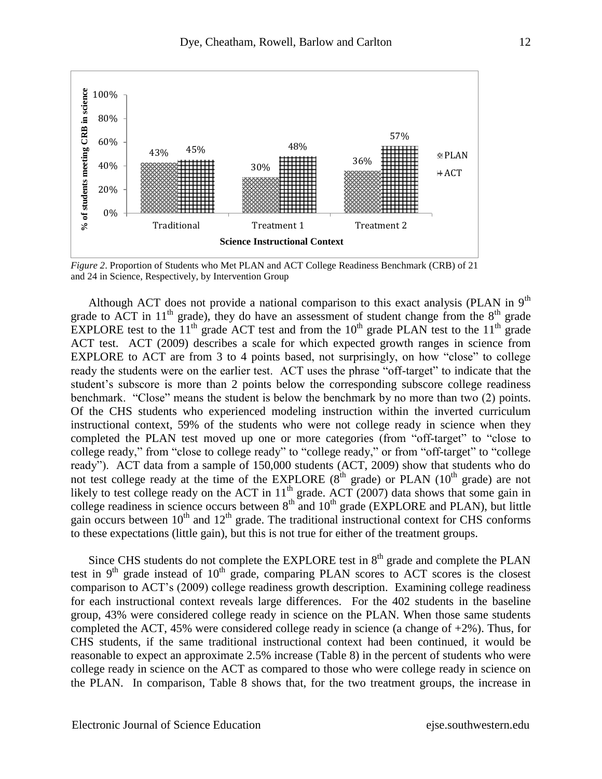

*Figure 2*. Proportion of Students who Met PLAN and ACT College Readiness Benchmark (CRB) of 21 and 24 in Science, Respectively, by Intervention Group

Although ACT does not provide a national comparison to this exact analysis (PLAN in  $9<sup>th</sup>$ grade to ACT in  $11<sup>th</sup>$  grade), they do have an assessment of student change from the  $8<sup>th</sup>$  grade EXPLORE test to the  $11<sup>th</sup>$  grade ACT test and from the  $10<sup>th</sup>$  grade PLAN test to the  $11<sup>th</sup>$  grade ACT test. ACT (2009) describes a scale for which expected growth ranges in science from EXPLORE to ACT are from 3 to 4 points based, not surprisingly, on how "close" to college ready the students were on the earlier test. ACT uses the phrase "off-target" to indicate that the student's subscore is more than 2 points below the corresponding subscore college readiness benchmark. "Close" means the student is below the benchmark by no more than two (2) points. Of the CHS students who experienced modeling instruction within the inverted curriculum instructional context, 59% of the students who were not college ready in science when they completed the PLAN test moved up one or more categories (from "off-target" to "close to college ready," from "close to college ready" to "college ready," or from "off-target" to "college ready"). ACT data from a sample of 150,000 students (ACT, 2009) show that students who do not test college ready at the time of the EXPLORE ( $8<sup>th</sup>$  grade) or PLAN ( $10<sup>th</sup>$  grade) are not likely to test college ready on the ACT in  $11<sup>th</sup>$  grade. ACT (2007) data shows that some gain in college readiness in science occurs between  $8<sup>th</sup>$  and  $10<sup>th</sup>$  grade (EXPLORE and PLAN), but little gain occurs between  $10^{th}$  and  $12^{th}$  grade. The traditional instructional context for CHS conforms to these expectations (little gain), but this is not true for either of the treatment groups.

Since CHS students do not complete the EXPLORE test in  $8<sup>th</sup>$  grade and complete the PLAN test in  $9<sup>th</sup>$  grade instead of  $10<sup>th</sup>$  grade, comparing PLAN scores to ACT scores is the closest comparison to ACT's (2009) college readiness growth description. Examining college readiness for each instructional context reveals large differences. For the 402 students in the baseline group, 43% were considered college ready in science on the PLAN. When those same students completed the ACT, 45% were considered college ready in science (a change of +2%). Thus, for CHS students, if the same traditional instructional context had been continued, it would be reasonable to expect an approximate 2.5% increase (Table 8) in the percent of students who were college ready in science on the ACT as compared to those who were college ready in science on the PLAN. In comparison, Table 8 shows that, for the two treatment groups, the increase in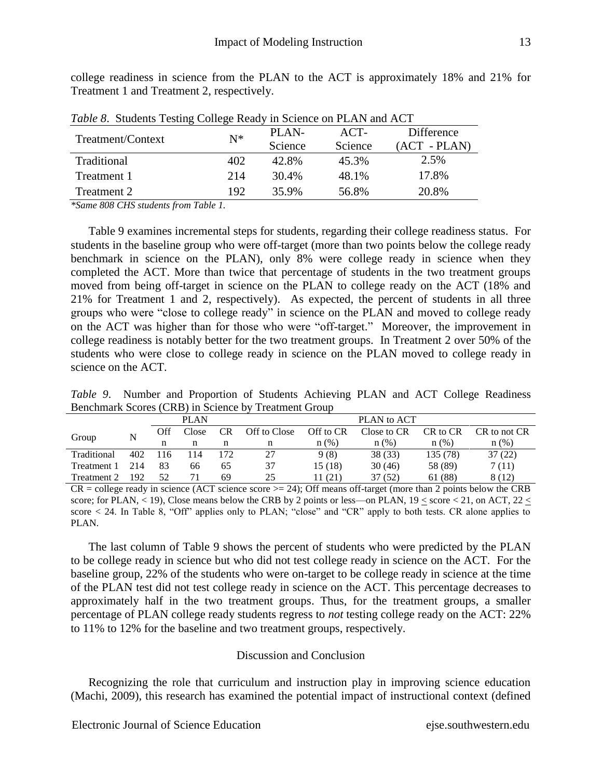| Table 8. Students Testing College Ready in Science on PLAN and ACT |       |         |         |                |  |  |  |  |
|--------------------------------------------------------------------|-------|---------|---------|----------------|--|--|--|--|
| Treatment/Context                                                  | $N^*$ | PLAN-   | $ACT-$  | Difference     |  |  |  |  |
|                                                                    |       | Science | Science | $(ACT - PLAN)$ |  |  |  |  |
| Traditional                                                        | 402   | 42.8%   | 45.3%   | 2.5%           |  |  |  |  |
| Treatment 1                                                        | 214   | 30.4%   | 48.1%   | 17.8%          |  |  |  |  |
| Treatment 2                                                        | 192   | 35.9%   | 56.8%   | 20.8%          |  |  |  |  |

college readiness in science from the PLAN to the ACT is approximately 18% and 21% for Treatment 1 and Treatment 2, respectively.

*\*Same 808 CHS students from Table 1.*

Table 9 examines incremental steps for students, regarding their college readiness status. For students in the baseline group who were off-target (more than two points below the college ready benchmark in science on the PLAN), only 8% were college ready in science when they completed the ACT. More than twice that percentage of students in the two treatment groups moved from being off-target in science on the PLAN to college ready on the ACT (18% and 21% for Treatment 1 and 2, respectively). As expected, the percent of students in all three groups who were "close to college ready" in science on the PLAN and moved to college ready on the ACT was higher than for those who were "off-target." Moreover, the improvement in college readiness is notably better for the two treatment groups. In Treatment 2 over 50% of the students who were close to college ready in science on the PLAN moved to college ready in science on the ACT.

*Table 9*. Number and Proportion of Students Achieving PLAN and ACT College Readiness Benchmark Scores (CRB) in Science by Treatment Group

|             |     |     | <b>PLAN</b> |           |              |           | PLAN to ACT |          |              |
|-------------|-----|-----|-------------|-----------|--------------|-----------|-------------|----------|--------------|
| Group       |     | Off | Close       | <b>CR</b> | Off to Close | Off to CR | Close to CR | CR to CR | CR to not CR |
|             |     |     | n           |           | n            | n(%)      | n(%)        | $n$ (%)  | n(%)         |
| Traditional | 402 | 116 | 114         | 172       | 27           | 9(8)      | 38 (33)     | 135 (78) | 37(22)       |
| Treatment 1 | 214 | 83  | 66          | 65        | 37           | 15 (18)   | 30(46)      | 58 (89)  | 7 (11)       |
| Treatment 2 | 192 | 52  | 71          | 69        | 25           | 11 (21)   | 37 (52)     | 61 (88)  | 8 (12)       |

 $CR =$  college ready in science (ACT science score  $\ge$  24); Off means off-target (more than 2 points below the CRB score; for PLAN,  $\lt$  19), Close means below the CRB by 2 points or less—on PLAN, 19  $\lt$  score  $\lt$  21, on ACT, 22  $\lt$ score  $\leq$  24. In Table 8, "Off" applies only to PLAN; "close" and "CR" apply to both tests. CR alone applies to PLAN.

The last column of Table 9 shows the percent of students who were predicted by the PLAN to be college ready in science but who did not test college ready in science on the ACT. For the baseline group, 22% of the students who were on-target to be college ready in science at the time of the PLAN test did not test college ready in science on the ACT. This percentage decreases to approximately half in the two treatment groups. Thus, for the treatment groups, a smaller percentage of PLAN college ready students regress to *not* testing college ready on the ACT: 22% to 11% to 12% for the baseline and two treatment groups, respectively.

# Discussion and Conclusion

Recognizing the role that curriculum and instruction play in improving science education (Machi, 2009), this research has examined the potential impact of instructional context (defined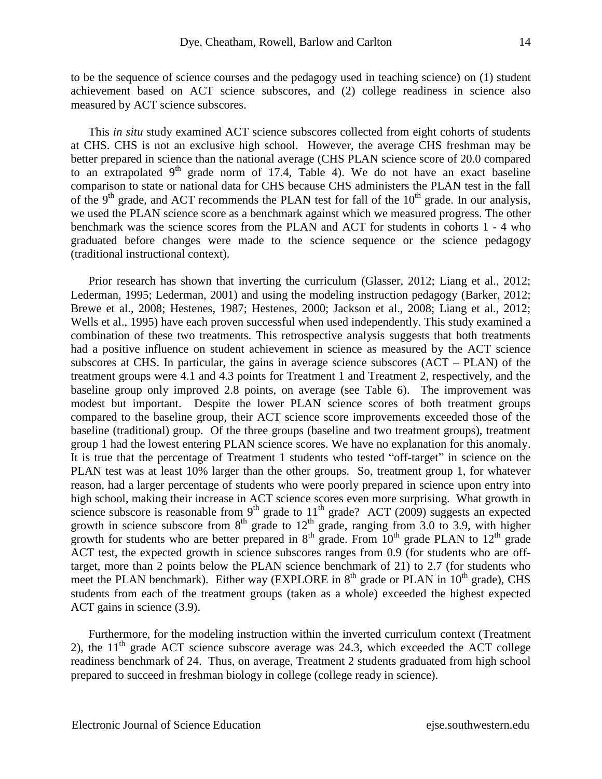to be the sequence of science courses and the pedagogy used in teaching science) on (1) student achievement based on ACT science subscores, and (2) college readiness in science also measured by ACT science subscores.

This *in situ* study examined ACT science subscores collected from eight cohorts of students at CHS. CHS is not an exclusive high school. However, the average CHS freshman may be better prepared in science than the national average (CHS PLAN science score of 20.0 compared to an extrapolated  $9<sup>th</sup>$  grade norm of 17.4, Table 4). We do not have an exact baseline comparison to state or national data for CHS because CHS administers the PLAN test in the fall of the 9<sup>th</sup> grade, and ACT recommends the PLAN test for fall of the  $10<sup>th</sup>$  grade. In our analysis, we used the PLAN science score as a benchmark against which we measured progress. The other benchmark was the science scores from the PLAN and ACT for students in cohorts 1 - 4 who graduated before changes were made to the science sequence or the science pedagogy (traditional instructional context).

Prior research has shown that inverting the curriculum (Glasser, 2012; Liang et al., 2012; Lederman, 1995; Lederman, 2001) and using the modeling instruction pedagogy (Barker, 2012; Brewe et al., 2008; Hestenes, 1987; Hestenes, 2000; Jackson et al., 2008; Liang et al., 2012; Wells et al., 1995) have each proven successful when used independently. This study examined a combination of these two treatments. This retrospective analysis suggests that both treatments had a positive influence on student achievement in science as measured by the ACT science subscores at CHS. In particular, the gains in average science subscores (ACT – PLAN) of the treatment groups were 4.1 and 4.3 points for Treatment 1 and Treatment 2, respectively, and the baseline group only improved 2.8 points, on average (see Table 6). The improvement was modest but important.Despite the lower PLAN science scores of both treatment groups compared to the baseline group, their ACT science score improvements exceeded those of the baseline (traditional) group. Of the three groups (baseline and two treatment groups), treatment group 1 had the lowest entering PLAN science scores. We have no explanation for this anomaly. It is true that the percentage of Treatment 1 students who tested "off-target" in science on the PLAN test was at least 10% larger than the other groups. So, treatment group 1, for whatever reason, had a larger percentage of students who were poorly prepared in science upon entry into high school, making their increase in ACT science scores even more surprising. What growth in science subscore is reasonable from  $9<sup>th</sup>$  grade to  $11<sup>th</sup>$  grade? ACT (2009) suggests an expected growth in science subscore from  $8<sup>th</sup>$  grade to  $12<sup>th</sup>$  grade, ranging from 3.0 to 3.9, with higher growth for students who are better prepared in  $8<sup>th</sup>$  grade. From  $10<sup>th</sup>$  grade PLAN to  $12<sup>th</sup>$  grade ACT test, the expected growth in science subscores ranges from 0.9 (for students who are offtarget, more than 2 points below the PLAN science benchmark of 21) to 2.7 (for students who meet the PLAN benchmark). Either way (EXPLORE in  $8<sup>th</sup>$  grade or PLAN in  $10<sup>th</sup>$  grade), CHS students from each of the treatment groups (taken as a whole) exceeded the highest expected ACT gains in science (3.9).

Furthermore, for the modeling instruction within the inverted curriculum context (Treatment 2), the  $11<sup>th</sup>$  grade ACT science subscore average was 24.3, which exceeded the ACT college readiness benchmark of 24. Thus, on average, Treatment 2 students graduated from high school prepared to succeed in freshman biology in college (college ready in science).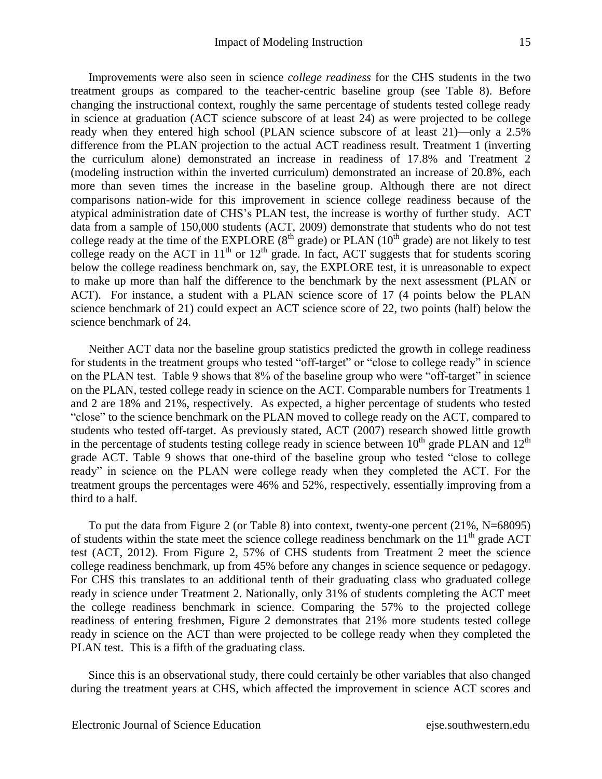Improvements were also seen in science *college readiness* for the CHS students in the two treatment groups as compared to the teacher-centric baseline group (see Table 8). Before changing the instructional context, roughly the same percentage of students tested college ready in science at graduation (ACT science subscore of at least 24) as were projected to be college ready when they entered high school (PLAN science subscore of at least 21)—only a 2.5% difference from the PLAN projection to the actual ACT readiness result. Treatment 1 (inverting the curriculum alone) demonstrated an increase in readiness of 17.8% and Treatment 2 (modeling instruction within the inverted curriculum) demonstrated an increase of 20.8%, each more than seven times the increase in the baseline group. Although there are not direct comparisons nation-wide for this improvement in science college readiness because of the atypical administration date of CHS's PLAN test, the increase is worthy of further study. ACT data from a sample of 150,000 students (ACT, 2009) demonstrate that students who do not test college ready at the time of the EXPLORE  $(8<sup>th</sup> \text{ grade})$  or PLAN  $(10<sup>th</sup> \text{ grade})$  are not likely to test college ready on the ACT in  $11<sup>th</sup>$  or  $12<sup>th</sup>$  grade. In fact, ACT suggests that for students scoring below the college readiness benchmark on, say, the EXPLORE test, it is unreasonable to expect to make up more than half the difference to the benchmark by the next assessment (PLAN or ACT). For instance, a student with a PLAN science score of 17 (4 points below the PLAN science benchmark of 21) could expect an ACT science score of 22, two points (half) below the science benchmark of 24.

Neither ACT data nor the baseline group statistics predicted the growth in college readiness for students in the treatment groups who tested "off-target" or "close to college ready" in science on the PLAN test. Table 9 shows that  $8\%$  of the baseline group who were "off-target" in science on the PLAN, tested college ready in science on the ACT. Comparable numbers for Treatments 1 and 2 are 18% and 21%, respectively. As expected, a higher percentage of students who tested ―close‖ to the science benchmark on the PLAN moved to college ready on the ACT, compared to students who tested off-target. As previously stated, ACT (2007) research showed little growth in the percentage of students testing college ready in science between  $10^{th}$  grade PLAN and  $12^{th}$ grade ACT. Table 9 shows that one-third of the baseline group who tested "close to college ready" in science on the PLAN were college ready when they completed the ACT. For the treatment groups the percentages were 46% and 52%, respectively, essentially improving from a third to a half.

To put the data from Figure 2 (or Table 8) into context, twenty-one percent (21%, N=68095) of students within the state meet the science college readiness benchmark on the  $11<sup>th</sup>$  grade ACT test (ACT, 2012). From Figure 2, 57% of CHS students from Treatment 2 meet the science college readiness benchmark, up from 45% before any changes in science sequence or pedagogy. For CHS this translates to an additional tenth of their graduating class who graduated college ready in science under Treatment 2. Nationally, only 31% of students completing the ACT meet the college readiness benchmark in science. Comparing the 57% to the projected college readiness of entering freshmen, Figure 2 demonstrates that 21% more students tested college ready in science on the ACT than were projected to be college ready when they completed the PLAN test. This is a fifth of the graduating class.

Since this is an observational study, there could certainly be other variables that also changed during the treatment years at CHS, which affected the improvement in science ACT scores and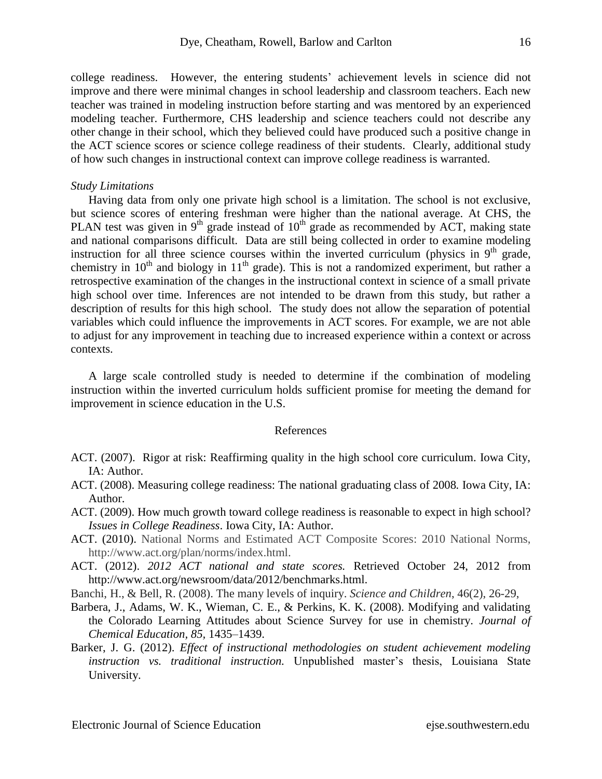college readiness. However, the entering students' achievement levels in science did not improve and there were minimal changes in school leadership and classroom teachers. Each new teacher was trained in modeling instruction before starting and was mentored by an experienced modeling teacher. Furthermore, CHS leadership and science teachers could not describe any other change in their school, which they believed could have produced such a positive change in the ACT science scores or science college readiness of their students. Clearly, additional study of how such changes in instructional context can improve college readiness is warranted.

#### *Study Limitations*

Having data from only one private high school is a limitation. The school is not exclusive, but science scores of entering freshman were higher than the national average. At CHS, the PLAN test was given in  $9<sup>th</sup>$  grade instead of  $10<sup>th</sup>$  grade as recommended by ACT, making state and national comparisons difficult. Data are still being collected in order to examine modeling instruction for all three science courses within the inverted curriculum (physics in  $9<sup>th</sup>$  grade, chemistry in  $10^{th}$  and biology in  $11^{th}$  grade). This is not a randomized experiment, but rather a retrospective examination of the changes in the instructional context in science of a small private high school over time. Inferences are not intended to be drawn from this study, but rather a description of results for this high school. The study does not allow the separation of potential variables which could influence the improvements in ACT scores. For example, we are not able to adjust for any improvement in teaching due to increased experience within a context or across contexts.

A large scale controlled study is needed to determine if the combination of modeling instruction within the inverted curriculum holds sufficient promise for meeting the demand for improvement in science education in the U.S.

#### References

- ACT. (2007). Rigor at risk: Reaffirming quality in the high school core curriculum. Iowa City, IA: Author.
- ACT. (2008). Measuring college readiness: The national graduating class of 2008*.* Iowa City, IA: Author.
- ACT. (2009). How much growth toward college readiness is reasonable to expect in high school? *Issues in College Readiness*. Iowa City, IA: Author.
- ACT. (2010). National Norms and Estimated ACT Composite Scores: 2010 National Norms, [http://www.act.org/plan/norms/index.html.](http://www.act.org/plan/norms/index.html)
- ACT. (2012). *2012 ACT national and state scores.* Retrieved October 24, 2012 from http://www.act.org/newsroom/data/2012/benchmarks.html.
- Banchi, H., & Bell, R. (2008). The many levels of inquiry. *Science and Children*, 46(2), 26-29,
- Barbera, J., Adams, W. K., Wieman, C. E., & Perkins, K. K. (2008). Modifying and validating the Colorado Learning Attitudes about Science Survey for use in chemistry. *Journal of Chemical Education, 85,* 1435–1439.
- Barker, J. G. (2012). *Effect of instructional methodologies on student achievement modeling instruction vs. traditional instruction.* Unpublished master's thesis, Louisiana State University.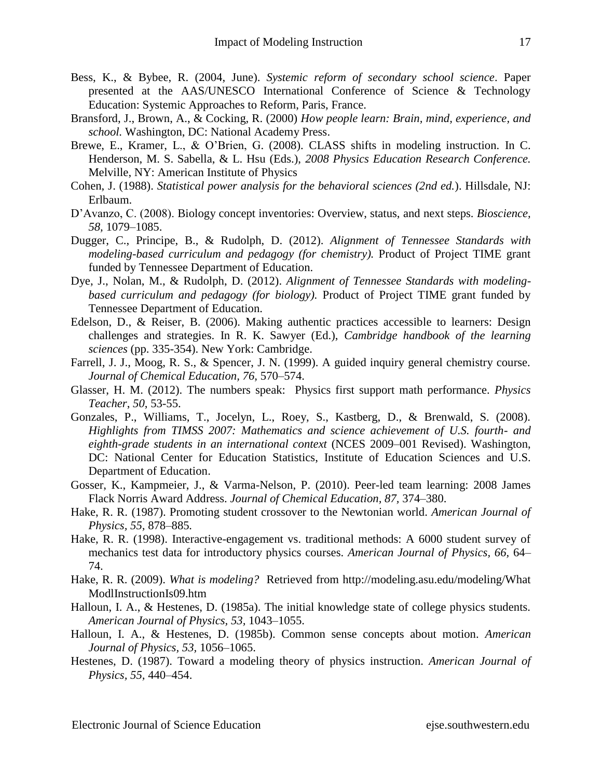- Bess, K., & Bybee, R. (2004, June). *Systemic reform of secondary school science*. Paper presented at the AAS/UNESCO International Conference of Science & Technology Education: Systemic Approaches to Reform, Paris, France.
- Bransford, J., Brown, A., & Cocking, R. (2000) *How people learn: Brain, mind, experience, and school.* Washington, DC: National Academy Press.
- Brewe, E., Kramer, L., & O'Brien, G. (2008). CLASS shifts in modeling instruction. In C. Henderson, M. S. Sabella, & L. Hsu (Eds.), *2008 Physics Education Research Conference.*  Melville, NY: American Institute of Physics
- Cohen, J. (1988). *Statistical power analysis for the behavioral sciences (2nd ed.*). Hillsdale, NJ: Erlbaum.
- D'Avanzo, C. (2008). Biology concept inventories: Overview, status, and next steps. *Bioscience, 58,* 1079–1085.
- Dugger, C., Principe, B., & Rudolph, D. (2012). *Alignment of Tennessee Standards with modeling-based curriculum and pedagogy (for chemistry).* Product of Project TIME grant funded by Tennessee Department of Education.
- Dye, J., Nolan, M., & Rudolph, D. (2012). *Alignment of Tennessee Standards with modelingbased curriculum and pedagogy (for biology).* Product of Project TIME grant funded by Tennessee Department of Education.
- Edelson, D., & Reiser, B. (2006). Making authentic practices accessible to learners: Design challenges and strategies. In R. K. Sawyer (Ed.), *Cambridge handbook of the learning sciences* (pp. 335-354). New York: Cambridge.
- Farrell, J. J., Moog, R. S., & Spencer, J. N. (1999). A guided inquiry general chemistry course. *Journal of Chemical Education, 76,* 570–574.
- Glasser, H. M. (2012). The numbers speak: Physics first support math performance. *Physics Teacher*, *50*, 53-55.
- Gonzales, P., Williams, T., Jocelyn, L., Roey, S., Kastberg, D., & Brenwald, S. (2008). *Highlights from TIMSS 2007: Mathematics and science achievement of U.S. fourth- and eighth-grade students in an international context* (NCES 2009–001 Revised). Washington, DC: National Center for Education Statistics, Institute of Education Sciences and U.S. Department of Education.
- Gosser, K., Kampmeier, J., & Varma-Nelson, P. (2010). Peer-led team learning: 2008 James Flack Norris Award Address. *Journal of Chemical Education, 87,* 374–380.
- Hake, R. R. (1987). Promoting student crossover to the Newtonian world. *American Journal of Physics, 55,* 878–885*.*
- Hake, R. R. (1998). Interactive-engagement vs. traditional methods: A 6000 student survey of mechanics test data for introductory physics courses. *American Journal of Physics, 66,* 64– 74.
- Hake, R. R. (2009). *What is modeling?* Retrieved from http://modeling.asu.edu/modeling/What ModlInstructionIs09.htm
- Halloun, I. A., & Hestenes, D. (1985a). The initial knowledge state of college physics students. *American Journal of Physics, 53,* 1043–1055.
- Halloun, I. A., & Hestenes, D. (1985b). Common sense concepts about motion. *American Journal of Physics, 53,* 1056–1065.
- Hestenes, D. (1987). Toward a modeling theory of physics instruction. *American Journal of Physics, 55,* 440–454.

Electronic Journal of Science Education ejse.southwestern.edu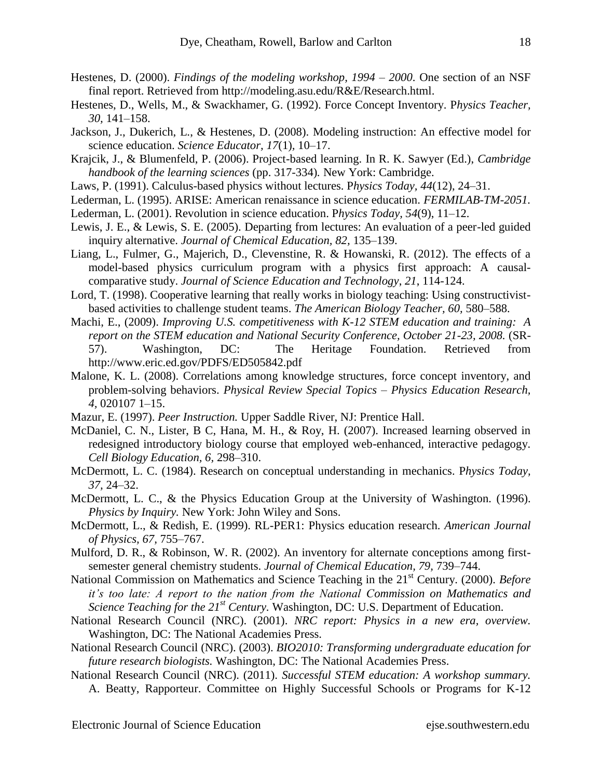- Hestenes, D. (2000). *Findings of the modeling workshop, 1994 – 2000*. One section of an NSF final report. Retrieved from http://modeling.asu.edu/R&E/Research.html.
- Hestenes, D., Wells, M., & Swackhamer, G. (1992). Force Concept Inventory. P*hysics Teacher, 30,* 141–158.
- Jackson, J., Dukerich, L., & Hestenes, D. (2008). Modeling instruction: An effective model for science education. *Science Educator, 17*(1)*,* 10–17.
- Krajcik, J., & Blumenfeld, P. (2006). Project-based learning. In R. K. Sawyer (Ed.), *Cambridge handbook of the learning sciences* (pp. 317-334)*.* New York: Cambridge.
- Laws, P. (1991). Calculus-based physics without lectures. P*hysics Today, 44*(12), 24–31.
- Lederman, L. (1995). ARISE: American renaissance in science education. *FERMILAB-TM-2051.*
- Lederman, L. (2001). Revolution in science education. P*hysics Today, 54*(9), 11–12.
- Lewis, J. E., & Lewis, S. E. (2005). Departing from lectures: An evaluation of a peer-led guided inquiry alternative. *Journal of Chemical Education, 82,* 135–139.
- Liang, L., Fulmer, G., Majerich, D., Clevenstine, R. & Howanski, R. (2012). The effects of a model-based physics curriculum program with a physics first approach: A causalcomparative study. *Journal of Science Education and Technology*, *21*, 114-124.
- Lord, T. (1998). Cooperative learning that really works in biology teaching: Using constructivistbased activities to challenge student teams. *The American Biology Teacher, 60,* 580–588.
- Machi, E., (2009). *Improving U.S. competitiveness with K-12 STEM education and training: A report on the STEM education and National Security Conference, October 21-23, 2008.* (SR-57). Washington, DC: The Heritage Foundation. Retrieved from http://www.eric.ed.gov/PDFS/ED505842.pdf
- Malone, K. L. (2008). Correlations among knowledge structures, force concept inventory, and problem-solving behaviors. *Physical Review Special Topics – Physics Education Research, 4,* 020107 1–15.
- Mazur, E. (1997). *Peer Instruction.* Upper Saddle River, NJ: Prentice Hall.
- McDaniel, C. N., Lister, B C, Hana, M. H., & Roy, H. (2007). Increased learning observed in redesigned introductory biology course that employed web-enhanced, interactive pedagogy. *Cell Biology Education, 6,* 298–310.
- McDermott, L. C. (1984). Research on conceptual understanding in mechanics. P*hysics Today, 37,* 24–32.
- McDermott, L. C., & the Physics Education Group at the University of Washington. (1996). *Physics by Inquiry.* New York: John Wiley and Sons.
- McDermott, L., & Redish, E. (1999). RL-PER1: Physics education research. *American Journal of Physics, 67,* 755–767.
- Mulford, D. R., & Robinson, W. R. (2002). An inventory for alternate conceptions among firstsemester general chemistry students. *Journal of Chemical Education, 79,* 739–744.
- National Commission on Mathematics and Science Teaching in the 21<sup>st</sup> Century. (2000). *Before it's too late: A report to the nation from the National Commission on Mathematics and Science Teaching for the 21st Century.* Washington, DC: U.S. Department of Education.
- National Research Council (NRC). (2001). *NRC report: Physics in a new era, overview.*  Washington, DC: The National Academies Press.
- National Research Council (NRC). (2003). *BIO2010: Transforming undergraduate education for future research biologists.* Washington, DC: The National Academies Press.
- National Research Council (NRC). (2011). *Successful STEM education: A workshop summary.*  A. Beatty, Rapporteur. Committee on Highly Successful Schools or Programs for K-12